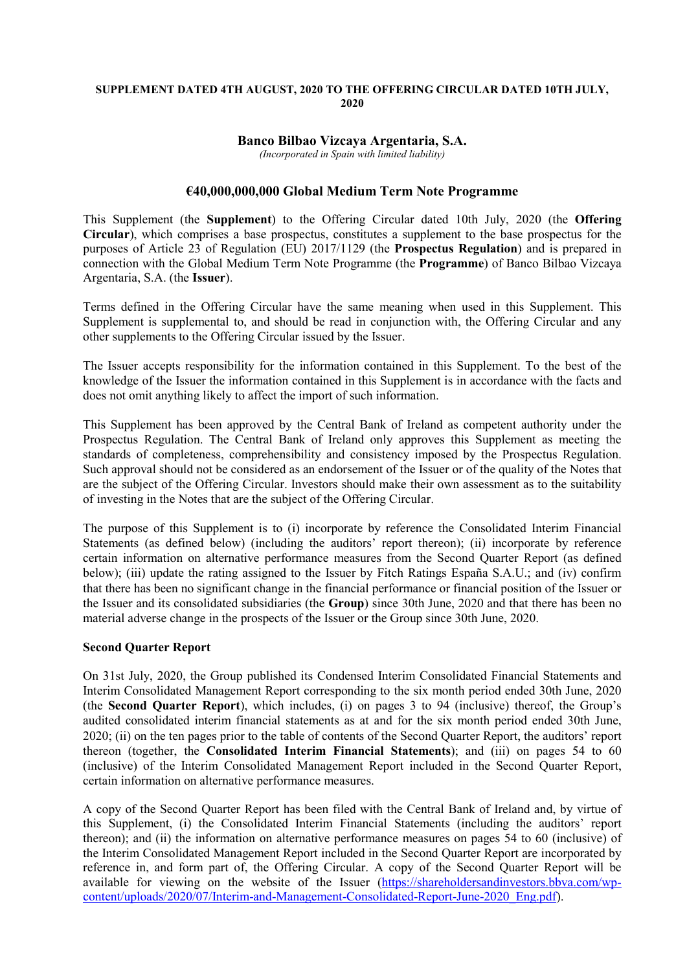#### **SUPPLEMENT DATED 4TH AUGUST, 2020 TO THE OFFERING CIRCULAR DATED 10TH JULY, 2020**

# **Banco Bilbao Vizcaya Argentaria, S.A.**

*(Incorporated in Spain with limited liability)*

### **€40,000,000,000 Global Medium Term Note Programme**

This Supplement (the **Supplement**) to the Offering Circular dated 10th July, 2020 (the **Offering Circular**), which comprises a base prospectus, constitutes a supplement to the base prospectus for the purposes of Article 23 of Regulation (EU) 2017/1129 (the **Prospectus Regulation**) and is prepared in connection with the Global Medium Term Note Programme (the **Programme**) of Banco Bilbao Vizcaya Argentaria, S.A. (the **Issuer**).

Terms defined in the Offering Circular have the same meaning when used in this Supplement. This Supplement is supplemental to, and should be read in conjunction with, the Offering Circular and any other supplements to the Offering Circular issued by the Issuer.

The Issuer accepts responsibility for the information contained in this Supplement. To the best of the knowledge of the Issuer the information contained in this Supplement is in accordance with the facts and does not omit anything likely to affect the import of such information.

This Supplement has been approved by the Central Bank of Ireland as competent authority under the Prospectus Regulation. The Central Bank of Ireland only approves this Supplement as meeting the standards of completeness, comprehensibility and consistency imposed by the Prospectus Regulation. Such approval should not be considered as an endorsement of the Issuer or of the quality of the Notes that are the subject of the Offering Circular. Investors should make their own assessment as to the suitability of investing in the Notes that are the subject of the Offering Circular.

The purpose of this Supplement is to (i) incorporate by reference the Consolidated Interim Financial Statements (as defined below) (including the auditors' report thereon); (ii) incorporate by reference certain information on alternative performance measures from the Second Quarter Report (as defined below); (iii) update the rating assigned to the Issuer by Fitch Ratings España S.A.U.; and (iv) confirm that there has been no significant change in the financial performance or financial position of the Issuer or the Issuer and its consolidated subsidiaries (the **Group**) since 30th June, 2020 and that there has been no material adverse change in the prospects of the Issuer or the Group since 30th June, 2020.

### **Second Quarter Report**

On 31st July, 2020, the Group published its Condensed Interim Consolidated Financial Statements and Interim Consolidated Management Report corresponding to the six month period ended 30th June, 2020 (the **Second Quarter Report**), which includes, (i) on pages 3 to 94 (inclusive) thereof, the Group's audited consolidated interim financial statements as at and for the six month period ended 30th June, 2020; (ii) on the ten pages prior to the table of contents of the Second Quarter Report, the auditors' report thereon (together, the **Consolidated Interim Financial Statements**); and (iii) on pages 54 to 60 (inclusive) of the Interim Consolidated Management Report included in the Second Quarter Report, certain information on alternative performance measures.

A copy of the Second Quarter Report has been filed with the Central Bank of Ireland and, by virtue of this Supplement, (i) the Consolidated Interim Financial Statements (including the auditors' report thereon); and (ii) the information on alternative performance measures on pages 54 to 60 (inclusive) of the Interim Consolidated Management Report included in the Second Quarter Report are incorporated by reference in, and form part of, the Offering Circular. A copy of the Second Quarter Report will be available for viewing on the website of the Issuer [\(https://shareholdersandinvestors.bbva.com/wp](https://shareholdersandinvestors.bbva.com/wp-content/uploads/2020/07/Interim-and-Management-Consolidated-Report-June-2020_Eng.pdf)[content/uploads/2020/07/Interim-and-Management-Consolidated-Report-June-2020\\_Eng.pdf\)](https://shareholdersandinvestors.bbva.com/wp-content/uploads/2020/07/Interim-and-Management-Consolidated-Report-June-2020_Eng.pdf).